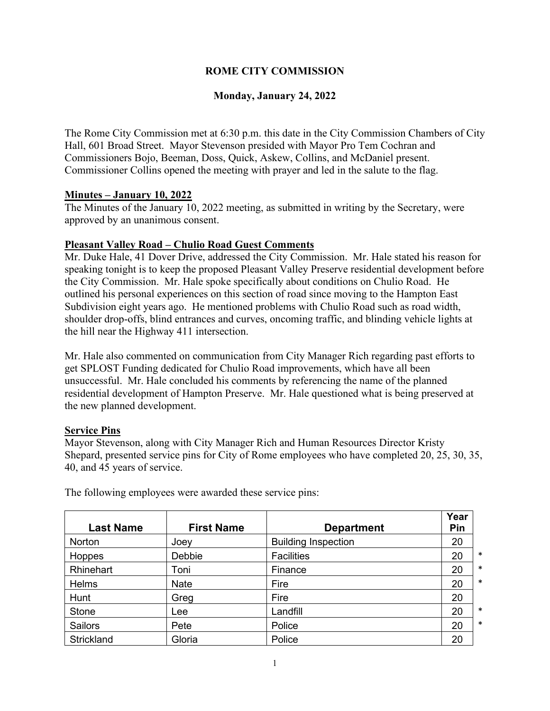## **ROME CITY COMMISSION**

## **Monday, January 24, 2022**

The Rome City Commission met at 6:30 p.m. this date in the City Commission Chambers of City Hall, 601 Broad Street. Mayor Stevenson presided with Mayor Pro Tem Cochran and Commissioners Bojo, Beeman, Doss, Quick, Askew, Collins, and McDaniel present. Commissioner Collins opened the meeting with prayer and led in the salute to the flag.

#### **Minutes – January 10, 2022**

The Minutes of the January 10, 2022 meeting, as submitted in writing by the Secretary, were approved by an unanimous consent.

### **Pleasant Valley Road – Chulio Road Guest Comments**

Mr. Duke Hale, 41 Dover Drive, addressed the City Commission. Mr. Hale stated his reason for speaking tonight is to keep the proposed Pleasant Valley Preserve residential development before the City Commission. Mr. Hale spoke specifically about conditions on Chulio Road. He outlined his personal experiences on this section of road since moving to the Hampton East Subdivision eight years ago. He mentioned problems with Chulio Road such as road width, shoulder drop-offs, blind entrances and curves, oncoming traffic, and blinding vehicle lights at the hill near the Highway 411 intersection.

Mr. Hale also commented on communication from City Manager Rich regarding past efforts to get SPLOST Funding dedicated for Chulio Road improvements, which have all been unsuccessful. Mr. Hale concluded his comments by referencing the name of the planned residential development of Hampton Preserve. Mr. Hale questioned what is being preserved at the new planned development.

#### **Service Pins**

Mayor Stevenson, along with City Manager Rich and Human Resources Director Kristy Shepard, presented service pins for City of Rome employees who have completed 20, 25, 30, 35, 40, and 45 years of service.

| <b>Last Name</b> | <b>First Name</b> | <b>Department</b>          | Year<br>Pin |        |
|------------------|-------------------|----------------------------|-------------|--------|
| <b>Norton</b>    | Joey              | <b>Building Inspection</b> | 20          |        |
| Hoppes           | Debbie            | <b>Facilities</b>          | 20          | $\ast$ |
| Rhinehart        | Toni              | Finance                    | 20          | $\ast$ |
| Helms            | <b>Nate</b>       | Fire                       | 20          | $\ast$ |
| Hunt             | Greg              | Fire                       | 20          |        |
| <b>Stone</b>     | Lee               | Landfill                   | 20          | $\ast$ |
| <b>Sailors</b>   | Pete              | Police                     | 20          | $\ast$ |
| Strickland       | Gloria            | Police                     | 20          |        |

The following employees were awarded these service pins: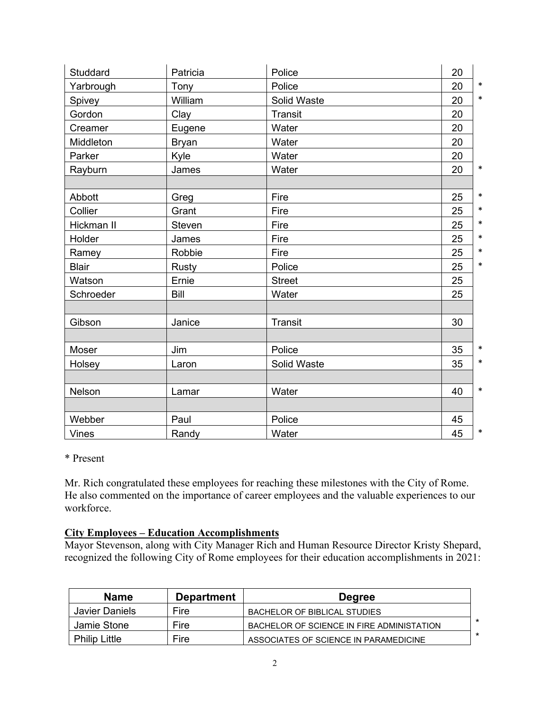| Studdard     | Patricia     | Police        | 20           |
|--------------|--------------|---------------|--------------|
| Yarbrough    | Tony         | Police        | $\ast$<br>20 |
| Spivey       | William      | Solid Waste   | $\ast$<br>20 |
| Gordon       | Clay         | Transit       | 20           |
| Creamer      | Eugene       | Water         | 20           |
| Middleton    | <b>Bryan</b> | Water         | 20           |
| Parker       | Kyle         | Water         | 20           |
| Rayburn      | James        | Water         | $\ast$<br>20 |
|              |              |               |              |
| Abbott       | Greg         | Fire          | $\ast$<br>25 |
| Collier      | Grant        | Fire          | 25<br>$\ast$ |
| Hickman II   | Steven       | Fire          | $\ast$<br>25 |
| Holder       | James        | Fire          | $\ast$<br>25 |
| Ramey        | Robbie       | Fire          | $\ast$<br>25 |
| <b>Blair</b> | Rusty        | Police        | $\ast$<br>25 |
| Watson       | Ernie        | <b>Street</b> | 25           |
| Schroeder    | <b>Bill</b>  | Water         | 25           |
|              |              |               |              |
| Gibson       | Janice       | Transit       | 30           |
|              |              |               |              |
| Moser        | Jim          | Police        | $\ast$<br>35 |
| Holsey       | Laron        | Solid Waste   | $\ast$<br>35 |
|              |              |               |              |
| Nelson       | Lamar        | Water         | $\ast$<br>40 |
|              |              |               |              |
| Webber       | Paul         | Police        | 45           |
| <b>Vines</b> | Randy        | Water         | $\ast$<br>45 |

## \* Present

Mr. Rich congratulated these employees for reaching these milestones with the City of Rome. He also commented on the importance of career employees and the valuable experiences to our workforce.

# **City Employees – Education Accomplishments**

Mayor Stevenson, along with City Manager Rich and Human Resource Director Kristy Shepard, recognized the following City of Rome employees for their education accomplishments in 2021:

| <b>Name</b>          | <b>Department</b> | <b>Degree</b>                             |  |
|----------------------|-------------------|-------------------------------------------|--|
| Javier Daniels       | Fire              | BACHELOR OF BIBLICAL STUDIES              |  |
| Jamie Stone          | Fire              | BACHELOR OF SCIENCE IN FIRE ADMINISTATION |  |
| <b>Philip Little</b> | Fire              | ASSOCIATES OF SCIENCE IN PARAMEDICINE     |  |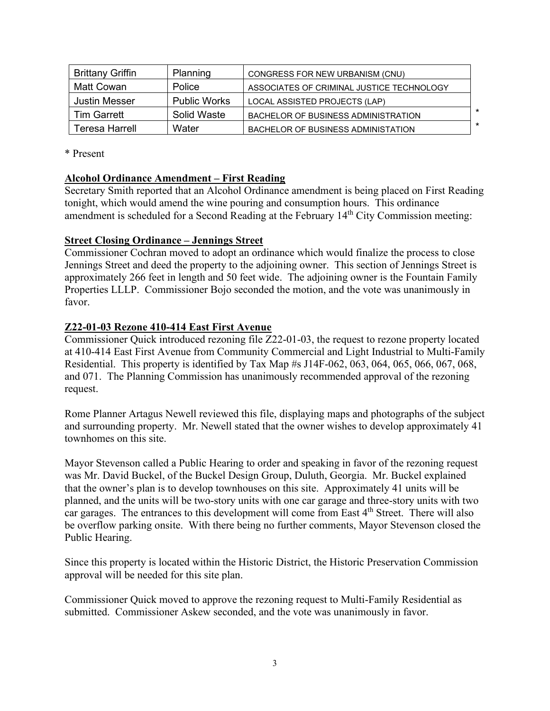| <b>Brittany Griffin</b> | Planning            | CONGRESS FOR NEW URBANISM (CNU)           |   |
|-------------------------|---------------------|-------------------------------------------|---|
| Matt Cowan              | Police              | ASSOCIATES OF CRIMINAL JUSTICE TECHNOLOGY |   |
| Justin Messer           | <b>Public Works</b> | LOCAL ASSISTED PROJECTS (LAP)             |   |
| Tim Garrett             | Solid Waste         | BACHELOR OF BUSINESS ADMINISTRATION       |   |
| Teresa Harrell          | Water               | BACHELOR OF BUSINESS ADMINISTATION        | * |

\* Present

#### **Alcohol Ordinance Amendment – First Reading**

Secretary Smith reported that an Alcohol Ordinance amendment is being placed on First Reading tonight, which would amend the wine pouring and consumption hours. This ordinance amendment is scheduled for a Second Reading at the February 14<sup>th</sup> City Commission meeting:

### **Street Closing Ordinance – Jennings Street**

Commissioner Cochran moved to adopt an ordinance which would finalize the process to close Jennings Street and deed the property to the adjoining owner. This section of Jennings Street is approximately 266 feet in length and 50 feet wide. The adjoining owner is the Fountain Family Properties LLLP. Commissioner Bojo seconded the motion, and the vote was unanimously in favor.

### **Z22-01-03 Rezone 410-414 East First Avenue**

Commissioner Quick introduced rezoning file Z22-01-03, the request to rezone property located at 410-414 East First Avenue from Community Commercial and Light Industrial to Multi-Family Residential. This property is identified by Tax Map #s J14F-062, 063, 064, 065, 066, 067, 068, and 071. The Planning Commission has unanimously recommended approval of the rezoning request.

Rome Planner Artagus Newell reviewed this file, displaying maps and photographs of the subject and surrounding property. Mr. Newell stated that the owner wishes to develop approximately 41 townhomes on this site.

Mayor Stevenson called a Public Hearing to order and speaking in favor of the rezoning request was Mr. David Buckel, of the Buckel Design Group, Duluth, Georgia. Mr. Buckel explained that the owner's plan is to develop townhouses on this site. Approximately 41 units will be planned, and the units will be two-story units with one car garage and three-story units with two car garages. The entrances to this development will come from East 4<sup>th</sup> Street. There will also be overflow parking onsite. With there being no further comments, Mayor Stevenson closed the Public Hearing.

Since this property is located within the Historic District, the Historic Preservation Commission approval will be needed for this site plan.

Commissioner Quick moved to approve the rezoning request to Multi-Family Residential as submitted. Commissioner Askew seconded, and the vote was unanimously in favor.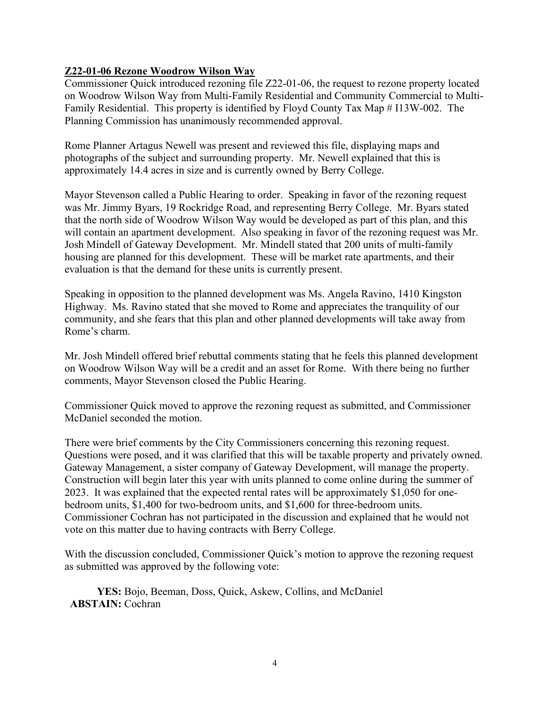## **Z22-01-06 Rezone Woodrow Wilson Way**

Commissioner Quick introduced rezoning file Z22-01-06, the request to rezone property located on Woodrow Wilson Way from Multi-Family Residential and Community Commercial to Multi-Family Residential. This property is identified by Floyd County Tax Map # I13W-002. The Planning Commission has unanimously recommended approval.

Rome Planner Artagus Newell was present and reviewed this file, displaying maps and photographs of the subject and surrounding property. Mr. Newell explained that this is approximately 14.4 acres in size and is currently owned by Berry College.

Mayor Stevenson called a Public Hearing to order. Speaking in favor of the rezoning request was Mr. Jimmy Byars, 19 Rockridge Road, and representing Berry College. Mr. Byars stated that the north side of Woodrow Wilson Way would be developed as part of this plan, and this will contain an apartment development. Also speaking in favor of the rezoning request was Mr. Josh Mindell of Gateway Development. Mr. Mindell stated that 200 units of multi-family housing are planned for this development. These will be market rate apartments, and their evaluation is that the demand for these units is currently present.

Speaking in opposition to the planned development was Ms. Angela Ravino, 1410 Kingston Highway. Ms. Ravino stated that she moved to Rome and appreciates the tranquility of our community, and she fears that this plan and other planned developments will take away from Rome's charm.

Mr. Josh Mindell offered brief rebuttal comments stating that he feels this planned development on Woodrow Wilson Way will be a credit and an asset for Rome. With there being no further comments, Mayor Stevenson closed the Public Hearing.

Commissioner Quick moved to approve the rezoning request as submitted, and Commissioner McDaniel seconded the motion.

There were brief comments by the City Commissioners concerning this rezoning request. Questions were posed, and it was clarified that this will be taxable property and privately owned. Gateway Management, a sister company of Gateway Development, will manage the property. Construction will begin later this year with units planned to come online during the summer of 2023. It was explained that the expected rental rates will be approximately \$1,050 for onebedroom units, \$1,400 for two-bedroom units, and \$1,600 for three-bedroom units. Commissioner Cochran has not participated in the discussion and explained that he would not vote on this matter due to having contracts with Berry College.

With the discussion concluded, Commissioner Quick's motion to approve the rezoning request as submitted was approved by the following vote:

**YES:** Bojo, Beeman, Doss, Quick, Askew, Collins, and McDaniel **ABSTAIN:** Cochran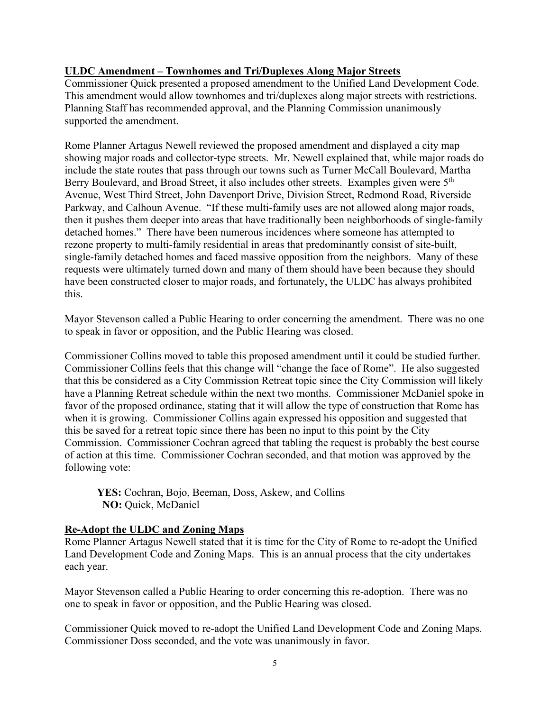## **ULDC Amendment – Townhomes and Tri/Duplexes Along Major Streets**

Commissioner Quick presented a proposed amendment to the Unified Land Development Code. This amendment would allow townhomes and tri/duplexes along major streets with restrictions. Planning Staff has recommended approval, and the Planning Commission unanimously supported the amendment.

Rome Planner Artagus Newell reviewed the proposed amendment and displayed a city map showing major roads and collector-type streets. Mr. Newell explained that, while major roads do include the state routes that pass through our towns such as Turner McCall Boulevard, Martha Berry Boulevard, and Broad Street, it also includes other streets. Examples given were 5<sup>th</sup> Avenue, West Third Street, John Davenport Drive, Division Street, Redmond Road, Riverside Parkway, and Calhoun Avenue. "If these multi-family uses are not allowed along major roads, then it pushes them deeper into areas that have traditionally been neighborhoods of single-family detached homes." There have been numerous incidences where someone has attempted to rezone property to multi-family residential in areas that predominantly consist of site-built, single-family detached homes and faced massive opposition from the neighbors. Many of these requests were ultimately turned down and many of them should have been because they should have been constructed closer to major roads, and fortunately, the ULDC has always prohibited this.

Mayor Stevenson called a Public Hearing to order concerning the amendment. There was no one to speak in favor or opposition, and the Public Hearing was closed.

Commissioner Collins moved to table this proposed amendment until it could be studied further. Commissioner Collins feels that this change will "change the face of Rome". He also suggested that this be considered as a City Commission Retreat topic since the City Commission will likely have a Planning Retreat schedule within the next two months. Commissioner McDaniel spoke in favor of the proposed ordinance, stating that it will allow the type of construction that Rome has when it is growing. Commissioner Collins again expressed his opposition and suggested that this be saved for a retreat topic since there has been no input to this point by the City Commission. Commissioner Cochran agreed that tabling the request is probably the best course of action at this time. Commissioner Cochran seconded, and that motion was approved by the following vote:

**YES:** Cochran, Bojo, Beeman, Doss, Askew, and Collins **NO:** Quick, McDaniel

## **Re-Adopt the ULDC and Zoning Maps**

Rome Planner Artagus Newell stated that it is time for the City of Rome to re-adopt the Unified Land Development Code and Zoning Maps. This is an annual process that the city undertakes each year.

Mayor Stevenson called a Public Hearing to order concerning this re-adoption. There was no one to speak in favor or opposition, and the Public Hearing was closed.

Commissioner Quick moved to re-adopt the Unified Land Development Code and Zoning Maps. Commissioner Doss seconded, and the vote was unanimously in favor.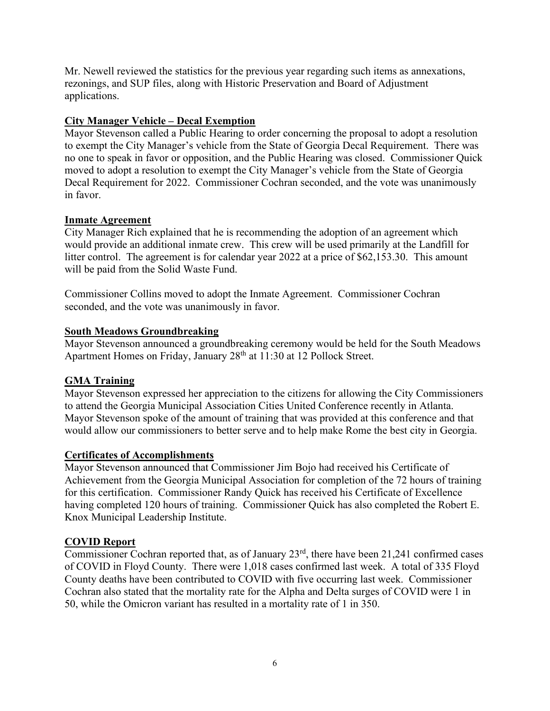Mr. Newell reviewed the statistics for the previous year regarding such items as annexations, rezonings, and SUP files, along with Historic Preservation and Board of Adjustment applications.

## **City Manager Vehicle – Decal Exemption**

Mayor Stevenson called a Public Hearing to order concerning the proposal to adopt a resolution to exempt the City Manager's vehicle from the State of Georgia Decal Requirement. There was no one to speak in favor or opposition, and the Public Hearing was closed. Commissioner Quick moved to adopt a resolution to exempt the City Manager's vehicle from the State of Georgia Decal Requirement for 2022. Commissioner Cochran seconded, and the vote was unanimously in favor.

#### **Inmate Agreement**

City Manager Rich explained that he is recommending the adoption of an agreement which would provide an additional inmate crew. This crew will be used primarily at the Landfill for litter control. The agreement is for calendar year 2022 at a price of \$62,153.30. This amount will be paid from the Solid Waste Fund.

Commissioner Collins moved to adopt the Inmate Agreement. Commissioner Cochran seconded, and the vote was unanimously in favor.

### **South Meadows Groundbreaking**

Mayor Stevenson announced a groundbreaking ceremony would be held for the South Meadows Apartment Homes on Friday, January 28<sup>th</sup> at 11:30 at 12 Pollock Street.

## **GMA Training**

Mayor Stevenson expressed her appreciation to the citizens for allowing the City Commissioners to attend the Georgia Municipal Association Cities United Conference recently in Atlanta. Mayor Stevenson spoke of the amount of training that was provided at this conference and that would allow our commissioners to better serve and to help make Rome the best city in Georgia.

#### **Certificates of Accomplishments**

Mayor Stevenson announced that Commissioner Jim Bojo had received his Certificate of Achievement from the Georgia Municipal Association for completion of the 72 hours of training for this certification. Commissioner Randy Quick has received his Certificate of Excellence having completed 120 hours of training. Commissioner Quick has also completed the Robert E. Knox Municipal Leadership Institute.

#### **COVID Report**

Commissioner Cochran reported that, as of January  $23<sup>rd</sup>$ , there have been 21,241 confirmed cases of COVID in Floyd County. There were 1,018 cases confirmed last week. A total of 335 Floyd County deaths have been contributed to COVID with five occurring last week. Commissioner Cochran also stated that the mortality rate for the Alpha and Delta surges of COVID were 1 in 50, while the Omicron variant has resulted in a mortality rate of 1 in 350.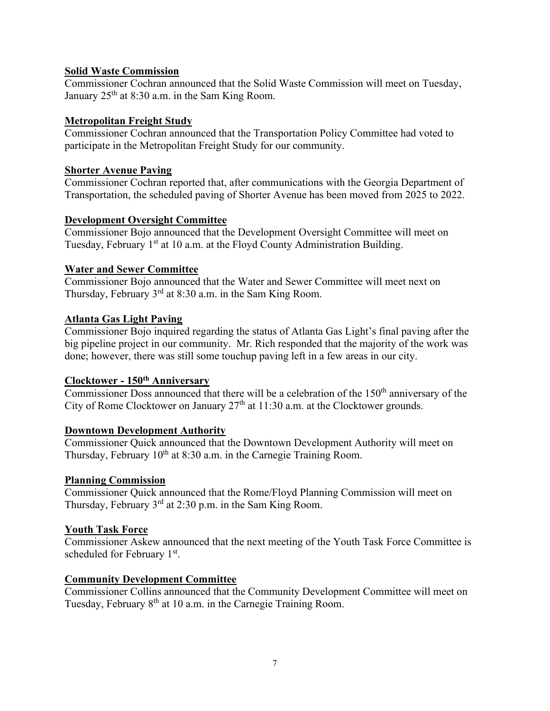## **Solid Waste Commission**

Commissioner Cochran announced that the Solid Waste Commission will meet on Tuesday, January  $25<sup>th</sup>$  at 8:30 a.m. in the Sam King Room.

### **Metropolitan Freight Study**

Commissioner Cochran announced that the Transportation Policy Committee had voted to participate in the Metropolitan Freight Study for our community.

### **Shorter Avenue Paving**

Commissioner Cochran reported that, after communications with the Georgia Department of Transportation, the scheduled paving of Shorter Avenue has been moved from 2025 to 2022.

### **Development Oversight Committee**

Commissioner Bojo announced that the Development Oversight Committee will meet on Tuesday, February  $1<sup>st</sup>$  at 10 a.m. at the Floyd County Administration Building.

### **Water and Sewer Committee**

Commissioner Bojo announced that the Water and Sewer Committee will meet next on Thursday, February  $3<sup>rd</sup>$  at 8:30 a.m. in the Sam King Room.

### **Atlanta Gas Light Paving**

Commissioner Bojo inquired regarding the status of Atlanta Gas Light's final paving after the big pipeline project in our community. Mr. Rich responded that the majority of the work was done; however, there was still some touchup paving left in a few areas in our city.

### **Clocktower - 150th Anniversary**

Commissioner Doss announced that there will be a celebration of the  $150<sup>th</sup>$  anniversary of the City of Rome Clocktower on January  $27<sup>th</sup>$  at 11:30 a.m. at the Clocktower grounds.

#### **Downtown Development Authority**

Commissioner Quick announced that the Downtown Development Authority will meet on Thursday, February  $10^{th}$  at 8:30 a.m. in the Carnegie Training Room.

#### **Planning Commission**

Commissioner Quick announced that the Rome/Floyd Planning Commission will meet on Thursday, February  $3<sup>rd</sup>$  at 2:30 p.m. in the Sam King Room.

#### **Youth Task Force**

Commissioner Askew announced that the next meeting of the Youth Task Force Committee is scheduled for February 1<sup>st</sup>.

#### **Community Development Committee**

Commissioner Collins announced that the Community Development Committee will meet on Tuesday, February 8<sup>th</sup> at 10 a.m. in the Carnegie Training Room.